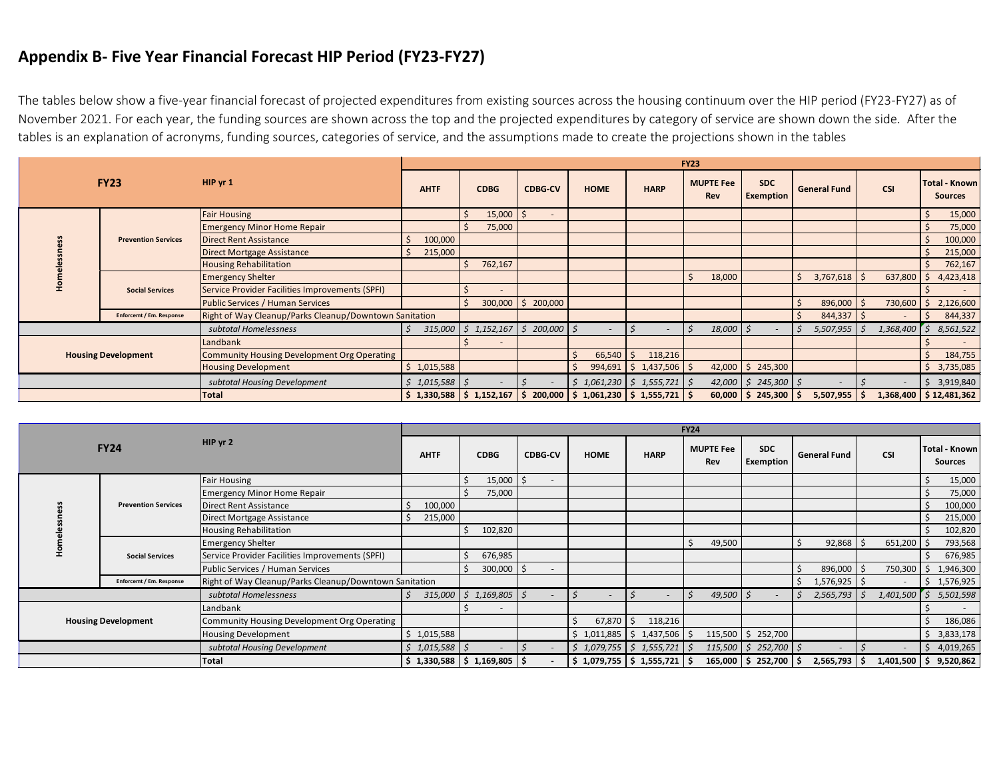## **Appendix B- Five Year Financial Forecast HIP Period (FY23-FY27)**

The tables below show a five-year financial forecast of projected expenditures from existing sources across the housing continuum over the HIP period (FY23-FY27) as of November 2021. For each year, the funding sources are shown across the top and the projected expenditures by category of service are shown down the side. After the tables is an explanation of acronyms, funding sources, categories of service, and the assumptions made to create the projections shown in the tables

| <b>FY23</b>                  |                                 |                                                        | <b>FY23</b>                                                                                                                         |                     |                          |                                           |                              |                            |                                |                     |                          |                                        |  |
|------------------------------|---------------------------------|--------------------------------------------------------|-------------------------------------------------------------------------------------------------------------------------------------|---------------------|--------------------------|-------------------------------------------|------------------------------|----------------------------|--------------------------------|---------------------|--------------------------|----------------------------------------|--|
|                              |                                 | $HIP$ yr 1                                             | <b>AHTF</b>                                                                                                                         | <b>CDBG</b>         | <b>CDBG-CV</b>           | <b>HOME</b>                               | <b>HARP</b>                  | <b>MUPTE Fee</b><br>Rev    | <b>SDC</b><br><b>Exemption</b> | <b>General Fund</b> | CSI                      | <b>Total - Known</b><br><b>Sources</b> |  |
|                              |                                 | <b>Fair Housing</b>                                    |                                                                                                                                     | $15,000$   \$       | $\overline{\phantom{a}}$ |                                           |                              |                            |                                |                     |                          | 15,000                                 |  |
|                              |                                 | <b>Emergency Minor Home Repair</b>                     |                                                                                                                                     | 75,000              |                          |                                           |                              |                            |                                |                     |                          | 75,000                                 |  |
|                              | <b>Prevention Services</b>      | <b>Direct Rent Assistance</b>                          | 100,000                                                                                                                             |                     |                          |                                           |                              |                            |                                |                     |                          | 100,000                                |  |
|                              |                                 | Direct Mortgage Assistance                             | 215,000                                                                                                                             |                     |                          |                                           |                              |                            |                                |                     |                          | 215,000                                |  |
|                              |                                 | <b>Housing Rehabilitation</b>                          |                                                                                                                                     | 762,167             |                          |                                           |                              |                            |                                |                     |                          | 762,167                                |  |
|                              | <b>Social Services</b>          | <b>Emergency Shelter</b>                               |                                                                                                                                     |                     |                          |                                           |                              | 18,000                     |                                | 3,767,618<br>S      | 637,800                  | 4,423,418                              |  |
|                              |                                 | Service Provider Facilities Improvements (SPFI)        |                                                                                                                                     |                     |                          |                                           |                              |                            |                                |                     |                          |                                        |  |
|                              |                                 | <b>Public Services / Human Services</b>                |                                                                                                                                     |                     | $300,000$   \$ 200,000   |                                           |                              |                            |                                | 896,000             | 730,600                  | 2,126,600                              |  |
|                              | <b>Enforcemt / Em. Response</b> | Right of Way Cleanup/Parks Cleanup/Downtown Sanitation |                                                                                                                                     |                     |                          |                                           |                              |                            |                                | 844,337             |                          | 844,337                                |  |
|                              |                                 | subtotal Homelessness                                  | 315,000                                                                                                                             | $1,152,167$ \$<br>5 | $200,000$ \$             |                                           |                              | $18,000$   \$              |                                | 5,507,955           | 1,368,400                | 8,561,522                              |  |
|                              |                                 | Landbank                                               |                                                                                                                                     |                     |                          |                                           |                              |                            |                                |                     |                          |                                        |  |
| <b>Housing Development</b>   |                                 | Community Housing Development Org Operating            |                                                                                                                                     |                     |                          | 66,540                                    | 118,216<br>l S               |                            |                                |                     |                          | 184,755                                |  |
|                              |                                 | <b>Housing Development</b>                             | \$1,015,588                                                                                                                         |                     |                          |                                           | $994,691$   \$1,437,506   \$ |                            | 42,000 $\vert$ \$ 245,300      |                     |                          | 3,735,085                              |  |
| subtotal Housing Development |                                 | $$1,015,588$ \$                                        |                                                                                                                                     |                     |                          | $1,061,230 \mid \xi$ 1,555,721 $\mid \xi$ |                              | $42,000$   \$ 245,300   \$ |                                |                     | 3,919,840                |                                        |  |
| Total                        |                                 |                                                        | $\frac{1}{2}$ 1,330,588 $\frac{1}{2}$ 1,152,167 $\frac{1}{2}$ 200,000 $\frac{1}{2}$ 1,061,230 $\frac{1}{2}$ 1,555,721 $\frac{1}{2}$ |                     |                          |                                           |                              | $60,000$ \$ 245,300        | 5,507,955<br>ΙS                |                     | $1,368,400$ \$12,481,362 |                                        |  |

| <b>FY24</b>                  |                            |                                                        |             |                                                               |                          |             |                           | <b>FY24</b>                           |                         |                      |                 |                                                                        |
|------------------------------|----------------------------|--------------------------------------------------------|-------------|---------------------------------------------------------------|--------------------------|-------------|---------------------------|---------------------------------------|-------------------------|----------------------|-----------------|------------------------------------------------------------------------|
|                              |                            | HIP yr 2                                               | <b>AHTF</b> | <b>CDBG</b>                                                   | <b>CDBG-CV</b>           | <b>HOME</b> | <b>HARP</b>               | <b>MUPTE Fee</b><br>Rev               | <b>SDC</b><br>Exemption | <b>General Fund</b>  | <b>CSI</b>      | Total - Known<br>Sources                                               |
|                              |                            | <b>Fair Housing</b>                                    |             | $15,000$   \$                                                 | $\overline{\phantom{a}}$ |             |                           |                                       |                         |                      |                 | 15,000                                                                 |
|                              |                            | <b>Emergency Minor Home Repair</b>                     |             | 75,000                                                        |                          |             |                           |                                       |                         |                      |                 | 75,000                                                                 |
|                              | <b>Prevention Services</b> | Direct Rent Assistance                                 | 100,000     |                                                               |                          |             |                           |                                       |                         |                      |                 | 100,000                                                                |
|                              |                            | Direct Mortgage Assistance                             | 215,000     |                                                               |                          |             |                           |                                       |                         |                      |                 | 215,000                                                                |
|                              |                            | Housing Rehabilitation                                 |             | 102,820                                                       |                          |             |                           |                                       |                         |                      |                 | 102,820                                                                |
|                              | <b>Social Services</b>     | <b>Emergency Shelter</b>                               |             |                                                               |                          |             |                           | 49,500                                |                         | $92,868$ \$          | 651,200         | 793,568                                                                |
|                              |                            | Service Provider Facilities Improvements (SPFI)        |             | 676,985                                                       |                          |             |                           |                                       |                         |                      |                 | 676,985                                                                |
|                              |                            | Public Services / Human Services                       |             | $300,000$ $\frac{1}{5}$                                       | $\sim$                   |             |                           |                                       |                         | 896,000 \$           | 750,300         | 1,946,300<br>\$                                                        |
|                              | Enforcemt / Em. Response   | Right of Way Cleanup/Parks Cleanup/Downtown Sanitation |             |                                                               |                          |             |                           |                                       |                         | $1,576,925$ \$       |                 | \$1,576,925                                                            |
|                              |                            | subtotal Homelessness                                  | 315,000     | $\frac{1}{2}$ 1,169,805                                       |                          | $\varsigma$ |                           | $49,500$ \$<br>$\breve{\phantom{1}}$  |                         | $2,565,793$ \$       |                 | $1,401,500$ $\left[\begin{array}{cc} 5 & 5,501,598 \end{array}\right]$ |
|                              |                            | Landbank                                               |             |                                                               |                          |             |                           |                                       |                         |                      |                 |                                                                        |
| <b>Housing Development</b>   |                            | Community Housing Development Org Operating            |             |                                                               |                          | 67,870      | 118,216<br>Ŝ.             |                                       |                         |                      |                 | Ŝ.<br>186,086                                                          |
|                              |                            | Housing Development                                    | \$1,015,588 |                                                               |                          |             | $$1,011,885$ $$1,437,506$ |                                       | $115,500$ \$ 252,700    |                      |                 | \$3,833,178                                                            |
| subtotal Housing Development |                            | $$1,015,588$ \$                                        |             |                                                               |                          |             |                           | $115,500 \mid \xi$ 252,700 $\mid \xi$ |                         |                      | 4,019,265<br>Ŝ. |                                                                        |
|                              |                            | Total                                                  |             | $\frac{1}{2}$ 1,330,588 $\frac{1}{2}$ 1,169,805 $\frac{1}{2}$ |                          |             | $$1,079,755$ $$1,555,721$ |                                       | 165,000   \$ 252,700    | $2,565,793$ \$<br>Ŝ. |                 | 1,401,500 \$ 9,520,862                                                 |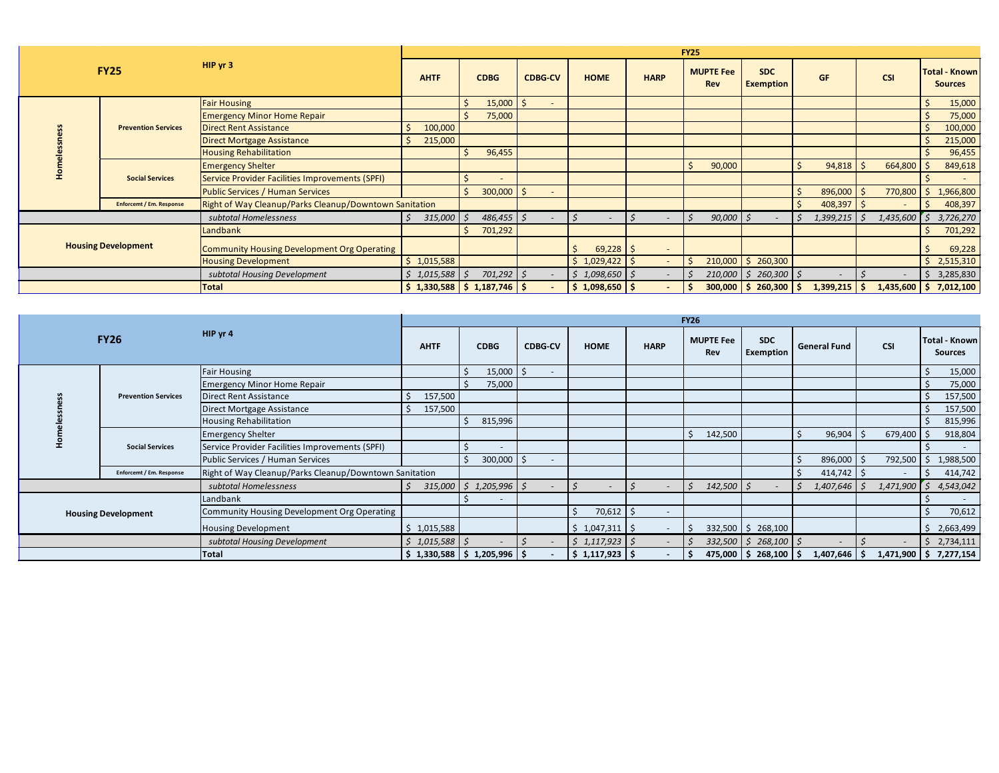| <b>FY25</b>                  |                                 |                                                        | <b>FY25</b>   |                                     |                                |                  |                                |                                |                                |                        |                           |                                        |  |
|------------------------------|---------------------------------|--------------------------------------------------------|---------------|-------------------------------------|--------------------------------|------------------|--------------------------------|--------------------------------|--------------------------------|------------------------|---------------------------|----------------------------------------|--|
|                              |                                 | HIP yr 3                                               | <b>AHTF</b>   | <b>CDBG</b>                         | <b>CDBG-CV</b>                 | <b>HOME</b>      | <b>HARP</b>                    | <b>MUPTE Fee</b><br><b>Rev</b> | <b>SDC</b><br><b>Exemption</b> | <b>GF</b>              | <b>CSI</b>                | <b>Total - Known</b><br><b>Sources</b> |  |
|                              |                                 | <b>Fair Housing</b>                                    |               | 15,000                              | -S<br>$\overline{\phantom{a}}$ |                  |                                |                                |                                |                        |                           | 15,000                                 |  |
|                              |                                 | <b>Emergency Minor Home Repair</b>                     |               | 75,000                              |                                |                  |                                |                                |                                |                        |                           | 75,000                                 |  |
|                              | <b>Prevention Services</b>      | <b>Direct Rent Assistance</b>                          | Ŝ.<br>100,000 |                                     |                                |                  |                                |                                |                                |                        |                           | 100,000                                |  |
|                              |                                 | Direct Mortgage Assistance                             | 215,000<br>Ś  |                                     |                                |                  |                                |                                |                                |                        |                           | 215,000                                |  |
|                              |                                 | <b>Housing Rehabilitation</b>                          |               | 96,455                              |                                |                  |                                |                                |                                |                        |                           | 96,455                                 |  |
|                              | <b>Social Services</b>          | <b>Emergency Shelter</b>                               |               |                                     |                                |                  |                                | 90,000                         |                                | 94,818                 | 664,800                   | 849,618                                |  |
|                              |                                 | Service Provider Facilities Improvements (SPFI)        |               |                                     |                                |                  |                                |                                |                                |                        |                           |                                        |  |
|                              |                                 | <b>Public Services / Human Services</b>                |               | 300,000                             | - Ś<br>$\sim$                  |                  |                                |                                |                                | $896,000$   \$         | 770,800                   | 1,966,800<br>Ŝ.                        |  |
|                              | <b>Enforcent / Em. Response</b> | Right of Way Cleanup/Parks Cleanup/Downtown Sanitation |               |                                     |                                |                  |                                |                                |                                | $408,397$ \$           |                           | 408,397                                |  |
|                              |                                 | subtotal Homelessness                                  | 315,000       | 486,455                             |                                |                  |                                | 90,000                         |                                | $1,399,215$ \$         | $1,435,600$ $\frac{2}{5}$ | 3,726,270                              |  |
|                              |                                 | Landbank                                               |               | 701,292                             |                                |                  |                                |                                |                                |                        |                           | 701,292                                |  |
| <b>Housing Development</b>   |                                 | Community Housing Development Org Operating            |               |                                     |                                | 69,228           | -Ŝ<br>$\overline{\phantom{a}}$ |                                |                                |                        |                           | 69,228                                 |  |
|                              |                                 | <b>Housing Development</b>                             | \$1,015,588   |                                     |                                | \$1,029,422      | ٠                              |                                | $210,000$   \$ 260,300         |                        |                           | \$2,515,310                            |  |
| subtotal Housing Development |                                 |                                                        | \$1,015,588   | $701,292$ \$                        |                                | $$1,098,650$ $$$ | $\overline{a}$                 |                                | $210,000$ \$ 260,300 \$        |                        |                           | 3,285,830<br>Ŝ.                        |  |
|                              |                                 | Total                                                  |               | $$1,330,588 \mid $1,187,746 \mid $$ |                                | $$1,098,650$ $$$ | $\overline{\phantom{0}}$       |                                | $300,000$   \$ 260,300         | $1,399,215$   \$<br>-S |                           | $1,435,600$ \$ 7,012,100               |  |

| <b>FY26</b>                |                            |                                                        | <b>FY26</b>       |                                         |                          |                             |                          |                         |                         |                      |                |                                        |  |
|----------------------------|----------------------------|--------------------------------------------------------|-------------------|-----------------------------------------|--------------------------|-----------------------------|--------------------------|-------------------------|-------------------------|----------------------|----------------|----------------------------------------|--|
|                            |                            | HIP yr $4$                                             | <b>AHTF</b>       | <b>CDBG</b>                             | <b>CDBG-CV</b>           | <b>HOME</b>                 | <b>HARP</b>              | <b>MUPTE Fee</b><br>Rev | <b>SDC</b><br>Exemption | <b>General Fund</b>  | <b>CSI</b>     | <b>Total - Known</b><br><b>Sources</b> |  |
|                            |                            | <b>Fair Housing</b>                                    |                   | $15,000$   \$                           | $\overline{\phantom{a}}$ |                             |                          |                         |                         |                      |                | 15,000                                 |  |
|                            |                            | <b>Emergency Minor Home Repair</b>                     |                   | 75,000                                  |                          |                             |                          |                         |                         |                      |                | 75,000                                 |  |
|                            | <b>Prevention Services</b> | Direct Rent Assistance                                 | 157,500           |                                         |                          |                             |                          |                         |                         |                      |                | 157,500                                |  |
|                            |                            | Direct Mortgage Assistance                             | 157,500           |                                         |                          |                             |                          |                         |                         |                      |                | 157,500                                |  |
|                            |                            | Housing Rehabilitation                                 |                   | 815,996                                 |                          |                             |                          |                         |                         |                      |                | 815,996                                |  |
|                            | <b>Social Services</b>     | <b>Emergency Shelter</b>                               |                   |                                         |                          |                             |                          | Ŝ.<br>142,500           |                         | 96,904               | 679,400        | 918,804                                |  |
|                            |                            | Service Provider Facilities Improvements (SPFI)        |                   | $\overline{\phantom{a}}$                |                          |                             |                          |                         |                         |                      |                |                                        |  |
|                            |                            | Public Services / Human Services                       |                   | $300,000$ \$                            | $\sim$                   |                             |                          |                         |                         | 896,000 \$           | 792,500        | 1,988,500<br>Ŝ.                        |  |
|                            | Enforcemt / Em. Response   | Right of Way Cleanup/Parks Cleanup/Downtown Sanitation |                   |                                         |                          |                             |                          |                         |                         | $414,742$ \$         |                | 414,742                                |  |
|                            |                            | subtotal Homelessness                                  |                   | $315,000 \mid \xi$ 1,205,996 $\mid \xi$ | $\overline{a}$           |                             | $\overline{\phantom{a}}$ | $142,500$ \$<br>$\leq$  |                         | $1,407,646$ \$       | $1,471,900$ \$ | 4,543,042                              |  |
|                            |                            | Landbank                                               |                   | $\overline{\phantom{a}}$                |                          |                             |                          |                         |                         |                      |                | $\sim$                                 |  |
| <b>Housing Development</b> |                            | Community Housing Development Org Operating            |                   |                                         |                          | 70,612                      | $\sim$                   |                         |                         |                      |                | 70,612                                 |  |
|                            |                            | Housing Development                                    | \$1,015,588       |                                         |                          | $$1,047,311$ $$$            | $\sim$                   |                         | $332,500$   \$ 268,100  |                      |                | 2,663,499<br>Ŝ.                        |  |
|                            |                            | subtotal Housing Development                           | $$1,015,588$ \ \$ |                                         |                          | $\sin 1, 117, 923$ $\sin 5$ | $\overline{\phantom{a}}$ |                         | $332,500$ \$ 268,100 \$ |                      |                | \$2,734,111                            |  |
|                            |                            | Total                                                  |                   | $$1,330,588 \mid $1,205,996 \mid $$     | $\overline{\phantom{a}}$ | $$1,117,923$ $$$            | $\overline{\phantom{0}}$ |                         | $475,000$   \$ 268,100  | $1,407,646$ \$<br>-S |                | $1,471,900$ \$ 7,277,154               |  |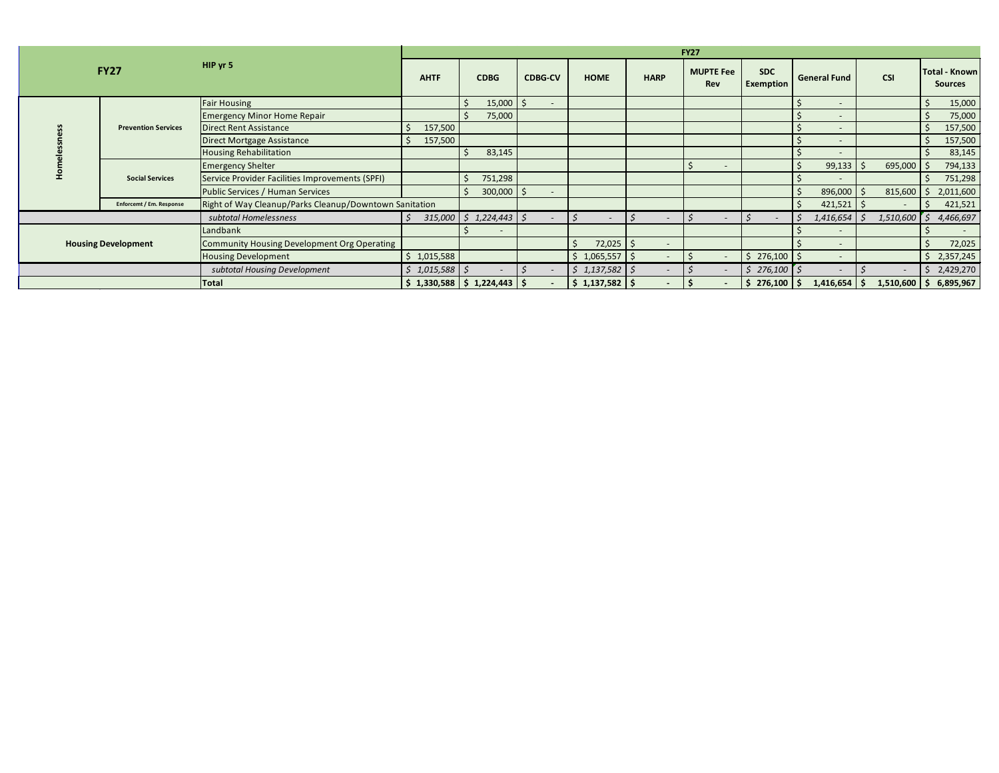| HIP yr 5<br><b>FY27</b>    |                            | <b>FY27</b>                                            |                    |                                         |                          |                          |                          |                                |                                |                        |                  |                                        |
|----------------------------|----------------------------|--------------------------------------------------------|--------------------|-----------------------------------------|--------------------------|--------------------------|--------------------------|--------------------------------|--------------------------------|------------------------|------------------|----------------------------------------|
|                            |                            |                                                        | <b>AHTF</b>        | <b>CDBG</b>                             | <b>CDBG-CV</b>           | <b>HOME</b>              | <b>HARP</b>              | <b>MUPTE Fee</b><br><b>Rev</b> | <b>SDC</b><br><b>Exemption</b> | <b>General Fund</b>    | <b>CSI</b>       | <b>Total - Known</b><br><b>Sources</b> |
|                            |                            | <b>Fair Housing</b>                                    |                    | $15,000$   \$                           | $\sim$                   |                          |                          |                                |                                |                        |                  | 15,000<br>- Ś                          |
|                            |                            | <b>Emergency Minor Home Repair</b>                     |                    | 75,000                                  |                          |                          |                          |                                |                                |                        |                  | 75,000                                 |
|                            | <b>Prevention Services</b> | <b>Direct Rent Assistance</b>                          | 157,500            |                                         |                          |                          |                          |                                |                                |                        |                  | 157,500<br>Ŝ.                          |
|                            |                            | Direct Mortgage Assistance                             | 157,500<br>$\zeta$ |                                         |                          |                          |                          |                                |                                |                        |                  | 157,500                                |
|                            |                            | <b>Housing Rehabilitation</b>                          |                    | 83,145                                  |                          |                          |                          |                                |                                |                        |                  | 83,145                                 |
|                            | <b>Social Services</b>     | <b>Emergency Shelter</b>                               |                    |                                         |                          |                          |                          |                                |                                | 99,133                 | 695,000 \$       | 794,133                                |
|                            |                            | Service Provider Facilities Improvements (SPFI)        |                    | 751,298                                 |                          |                          |                          |                                |                                |                        |                  | 751,298                                |
|                            |                            | Public Services / Human Services                       |                    | $300,000$   \$                          | $\sim$                   |                          |                          |                                |                                | $896,000$ \$           | 815,600          | 2,011,600<br>-S                        |
|                            | Enforcemt / Em. Response   | Right of Way Cleanup/Parks Cleanup/Downtown Sanitation |                    |                                         |                          |                          |                          |                                |                                | $421,521$ \$           |                  | 421,521                                |
|                            |                            | subtotal Homelessness                                  | S.                 | $315,000 \mid \xi$ 1,224,443 $\mid \xi$ | $\overline{\phantom{a}}$ | $\overline{\phantom{a}}$ | $\overline{\phantom{a}}$ |                                |                                | $1,416,654$ \$         | $1,510,600$   \$ | 4,466,697                              |
| <b>Housing Development</b> |                            | Landbank                                               |                    | $\overline{\phantom{a}}$                |                          |                          |                          |                                |                                |                        |                  |                                        |
|                            |                            | Community Housing Development Org Operating            |                    |                                         |                          | 72,025                   | $\sim$                   |                                |                                |                        |                  | 72,025                                 |
|                            |                            | <b>Housing Development</b>                             | \$1,015,588        |                                         |                          | $$1,065,557$ $$$         | $\overline{\phantom{a}}$ |                                | $$276,100$ \$                  |                        |                  | \$2,357,245                            |
|                            |                            | subtotal Housing Development                           | \$1,015,588        |                                         |                          | \$1,137,582              | $\overline{a}$           |                                | \$276,100                      |                        |                  | 2,429,270<br>Ś.                        |
|                            |                            | Total                                                  |                    | $$1,330,588 \mid $1,224,443 \mid $$     | $\overline{\phantom{a}}$ | $$1,137,582$ $$$         | $\sim$                   |                                | 276,100                        | $1,416,654$   \$<br>S. | 1,510,600        | 6,895,967<br>\$                        |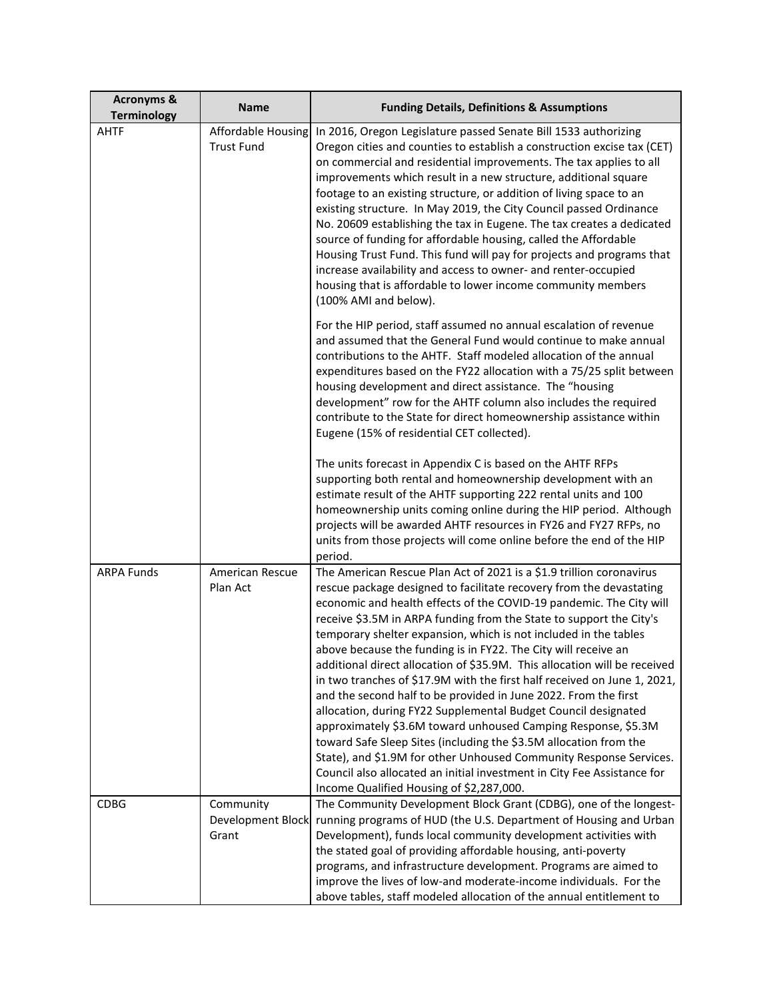| <b>Acronyms &amp;</b><br><b>Terminology</b> | <b>Name</b>                             | <b>Funding Details, Definitions &amp; Assumptions</b>                                                                                                                                                                                                                                                                                                                                                                                                                                                                                                                                                                                                                                                                                                                                                                                                                                                                                                                                                                                                            |
|---------------------------------------------|-----------------------------------------|------------------------------------------------------------------------------------------------------------------------------------------------------------------------------------------------------------------------------------------------------------------------------------------------------------------------------------------------------------------------------------------------------------------------------------------------------------------------------------------------------------------------------------------------------------------------------------------------------------------------------------------------------------------------------------------------------------------------------------------------------------------------------------------------------------------------------------------------------------------------------------------------------------------------------------------------------------------------------------------------------------------------------------------------------------------|
| <b>AHTF</b>                                 | Affordable Housing<br><b>Trust Fund</b> | In 2016, Oregon Legislature passed Senate Bill 1533 authorizing<br>Oregon cities and counties to establish a construction excise tax (CET)<br>on commercial and residential improvements. The tax applies to all<br>improvements which result in a new structure, additional square<br>footage to an existing structure, or addition of living space to an<br>existing structure. In May 2019, the City Council passed Ordinance<br>No. 20609 establishing the tax in Eugene. The tax creates a dedicated<br>source of funding for affordable housing, called the Affordable<br>Housing Trust Fund. This fund will pay for projects and programs that<br>increase availability and access to owner- and renter-occupied<br>housing that is affordable to lower income community members<br>(100% AMI and below).                                                                                                                                                                                                                                                 |
|                                             |                                         | For the HIP period, staff assumed no annual escalation of revenue<br>and assumed that the General Fund would continue to make annual<br>contributions to the AHTF. Staff modeled allocation of the annual<br>expenditures based on the FY22 allocation with a 75/25 split between<br>housing development and direct assistance. The "housing<br>development" row for the AHTF column also includes the required<br>contribute to the State for direct homeownership assistance within<br>Eugene (15% of residential CET collected).                                                                                                                                                                                                                                                                                                                                                                                                                                                                                                                              |
|                                             |                                         | The units forecast in Appendix C is based on the AHTF RFPs<br>supporting both rental and homeownership development with an<br>estimate result of the AHTF supporting 222 rental units and 100<br>homeownership units coming online during the HIP period. Although<br>projects will be awarded AHTF resources in FY26 and FY27 RFPs, no<br>units from those projects will come online before the end of the HIP<br>period.                                                                                                                                                                                                                                                                                                                                                                                                                                                                                                                                                                                                                                       |
| <b>ARPA Funds</b>                           | American Rescue<br>Plan Act             | The American Rescue Plan Act of 2021 is a \$1.9 trillion coronavirus<br>rescue package designed to facilitate recovery from the devastating<br>economic and health effects of the COVID-19 pandemic. The City will<br>receive \$3.5M in ARPA funding from the State to support the City's<br>temporary shelter expansion, which is not included in the tables<br>above because the funding is in FY22. The City will receive an<br>additional direct allocation of \$35.9M. This allocation will be received<br>in two tranches of \$17.9M with the first half received on June 1, 2021,<br>and the second half to be provided in June 2022. From the first<br>allocation, during FY22 Supplemental Budget Council designated<br>approximately \$3.6M toward unhoused Camping Response, \$5.3M<br>toward Safe Sleep Sites (including the \$3.5M allocation from the<br>State), and \$1.9M for other Unhoused Community Response Services.<br>Council also allocated an initial investment in City Fee Assistance for<br>Income Qualified Housing of \$2,287,000. |
| <b>CDBG</b>                                 | Community<br>Development Block<br>Grant | The Community Development Block Grant (CDBG), one of the longest-<br>running programs of HUD (the U.S. Department of Housing and Urban<br>Development), funds local community development activities with<br>the stated goal of providing affordable housing, anti-poverty<br>programs, and infrastructure development. Programs are aimed to<br>improve the lives of low-and moderate-income individuals. For the<br>above tables, staff modeled allocation of the annual entitlement to                                                                                                                                                                                                                                                                                                                                                                                                                                                                                                                                                                        |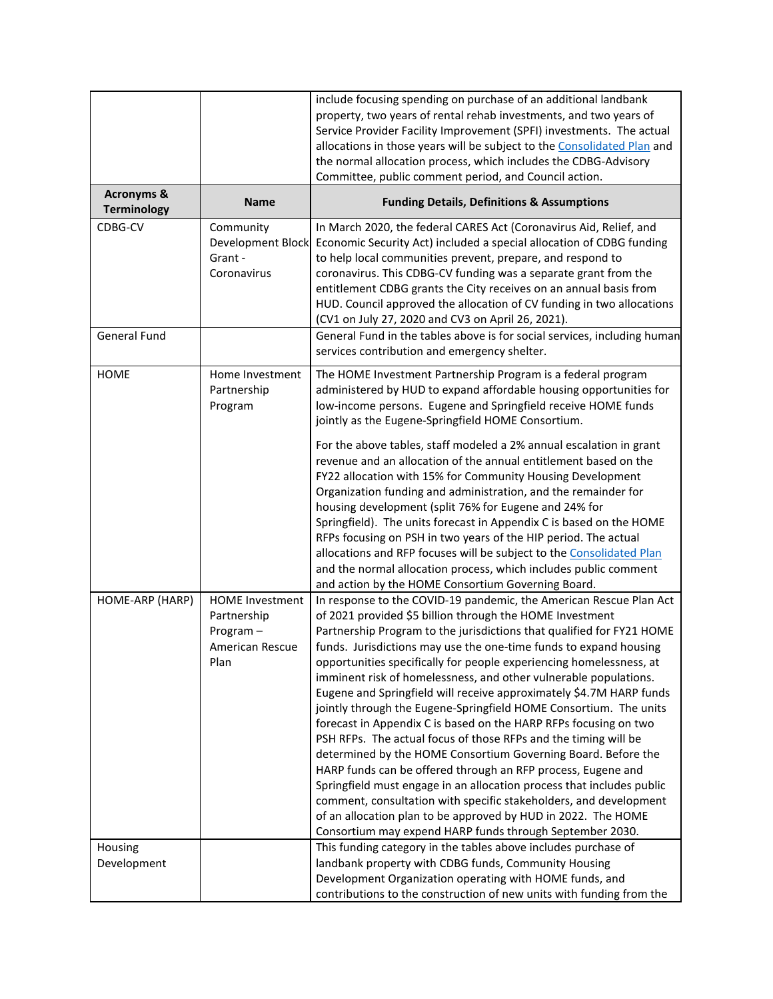|                                             |                                                                                     | include focusing spending on purchase of an additional landbank<br>property, two years of rental rehab investments, and two years of<br>Service Provider Facility Improvement (SPFI) investments. The actual<br>allocations in those years will be subject to the Consolidated Plan and<br>the normal allocation process, which includes the CDBG-Advisory<br>Committee, public comment period, and Council action.                                                                                                                                                                                                                                                                                                                                                                                                                                                                                                                                                                                                                                                                                                    |
|---------------------------------------------|-------------------------------------------------------------------------------------|------------------------------------------------------------------------------------------------------------------------------------------------------------------------------------------------------------------------------------------------------------------------------------------------------------------------------------------------------------------------------------------------------------------------------------------------------------------------------------------------------------------------------------------------------------------------------------------------------------------------------------------------------------------------------------------------------------------------------------------------------------------------------------------------------------------------------------------------------------------------------------------------------------------------------------------------------------------------------------------------------------------------------------------------------------------------------------------------------------------------|
| <b>Acronyms &amp;</b><br><b>Terminology</b> | <b>Name</b>                                                                         | <b>Funding Details, Definitions &amp; Assumptions</b>                                                                                                                                                                                                                                                                                                                                                                                                                                                                                                                                                                                                                                                                                                                                                                                                                                                                                                                                                                                                                                                                  |
| CDBG-CV                                     | Community<br>Development Block<br>Grant -<br>Coronavirus                            | In March 2020, the federal CARES Act (Coronavirus Aid, Relief, and<br>Economic Security Act) included a special allocation of CDBG funding<br>to help local communities prevent, prepare, and respond to<br>coronavirus. This CDBG-CV funding was a separate grant from the<br>entitlement CDBG grants the City receives on an annual basis from<br>HUD. Council approved the allocation of CV funding in two allocations<br>(CV1 on July 27, 2020 and CV3 on April 26, 2021).                                                                                                                                                                                                                                                                                                                                                                                                                                                                                                                                                                                                                                         |
| <b>General Fund</b>                         |                                                                                     | General Fund in the tables above is for social services, including human<br>services contribution and emergency shelter.                                                                                                                                                                                                                                                                                                                                                                                                                                                                                                                                                                                                                                                                                                                                                                                                                                                                                                                                                                                               |
| <b>HOME</b>                                 | Home Investment<br>Partnership<br>Program                                           | The HOME Investment Partnership Program is a federal program<br>administered by HUD to expand affordable housing opportunities for<br>low-income persons. Eugene and Springfield receive HOME funds<br>jointly as the Eugene-Springfield HOME Consortium.                                                                                                                                                                                                                                                                                                                                                                                                                                                                                                                                                                                                                                                                                                                                                                                                                                                              |
|                                             |                                                                                     | For the above tables, staff modeled a 2% annual escalation in grant<br>revenue and an allocation of the annual entitlement based on the<br>FY22 allocation with 15% for Community Housing Development<br>Organization funding and administration, and the remainder for<br>housing development (split 76% for Eugene and 24% for<br>Springfield). The units forecast in Appendix C is based on the HOME<br>RFPs focusing on PSH in two years of the HIP period. The actual<br>allocations and RFP focuses will be subject to the Consolidated Plan<br>and the normal allocation process, which includes public comment<br>and action by the HOME Consortium Governing Board.                                                                                                                                                                                                                                                                                                                                                                                                                                           |
| HOME-ARP (HARP)                             | <b>HOME Investment</b><br>Partnership<br>Program-<br><b>American Rescue</b><br>Plan | In response to the COVID-19 pandemic, the American Rescue Plan Act<br>of 2021 provided \$5 billion through the HOME Investment<br>Partnership Program to the jurisdictions that qualified for FY21 HOME<br>funds. Jurisdictions may use the one-time funds to expand housing<br>opportunities specifically for people experiencing homelessness, at<br>imminent risk of homelessness, and other vulnerable populations.<br>Eugene and Springfield will receive approximately \$4.7M HARP funds<br>jointly through the Eugene-Springfield HOME Consortium. The units<br>forecast in Appendix C is based on the HARP RFPs focusing on two<br>PSH RFPs. The actual focus of those RFPs and the timing will be<br>determined by the HOME Consortium Governing Board. Before the<br>HARP funds can be offered through an RFP process, Eugene and<br>Springfield must engage in an allocation process that includes public<br>comment, consultation with specific stakeholders, and development<br>of an allocation plan to be approved by HUD in 2022. The HOME<br>Consortium may expend HARP funds through September 2030. |
| Housing<br>Development                      |                                                                                     | This funding category in the tables above includes purchase of<br>landbank property with CDBG funds, Community Housing<br>Development Organization operating with HOME funds, and<br>contributions to the construction of new units with funding from the                                                                                                                                                                                                                                                                                                                                                                                                                                                                                                                                                                                                                                                                                                                                                                                                                                                              |